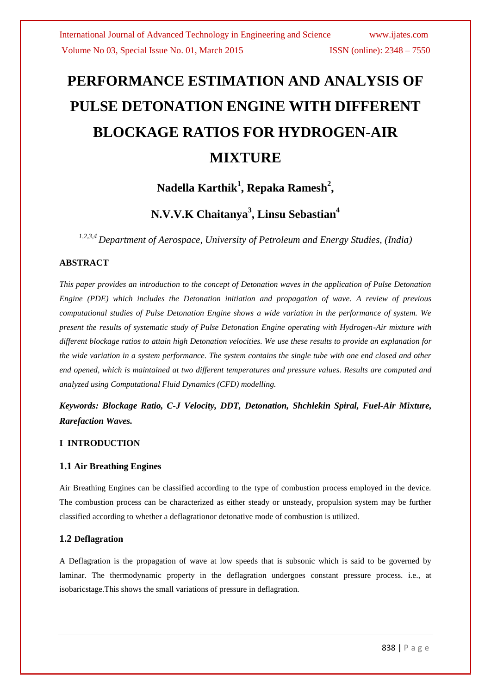# **PERFORMANCE ESTIMATION AND ANALYSIS OF PULSE DETONATION ENGINE WITH DIFFERENT BLOCKAGE RATIOS FOR HYDROGEN-AIR MIXTURE**

# **Nadella Karthik<sup>1</sup> , Repaka Ramesh<sup>2</sup> ,**

# **N.V.V.K Chaitanya<sup>3</sup> , Linsu Sebastian<sup>4</sup>**

*1,2,3,4 Department of Aerospace, University of Petroleum and Energy Studies, (India)*

### **ABSTRACT**

*This paper provides an introduction to the concept of Detonation waves in the application of Pulse Detonation Engine (PDE) which includes the Detonation initiation and propagation of wave. A review of previous computational studies of Pulse Detonation Engine shows a wide variation in the performance of system. We present the results of systematic study of Pulse Detonation Engine operating with Hydrogen-Air mixture with different blockage ratios to attain high Detonation velocities. We use these results to provide an explanation for the wide variation in a system performance. The system contains the single tube with one end closed and other end opened, which is maintained at two different temperatures and pressure values. Results are computed and analyzed using Computational Fluid Dynamics (CFD) modelling.* 

*Keywords: Blockage Ratio, C-J Velocity, DDT, Detonation, Shchlekin Spiral, Fuel-Air Mixture, Rarefaction Waves.*

#### **I INTRODUCTION**

#### **1.1 Air Breathing Engines**

Air Breathing Engines can be classified according to the type of combustion process employed in the device. The combustion process can be characterized as either steady or unsteady, propulsion system may be further classified according to whether a deflagrationor detonative mode of combustion is utilized.

#### **1.2 Deflagration**

A Deflagration is the propagation of wave at low speeds that is subsonic which is said to be governed by laminar. The thermodynamic property in the deflagration undergoes constant pressure process. i.e., at isobaricstage.This shows the small variations of pressure in deflagration.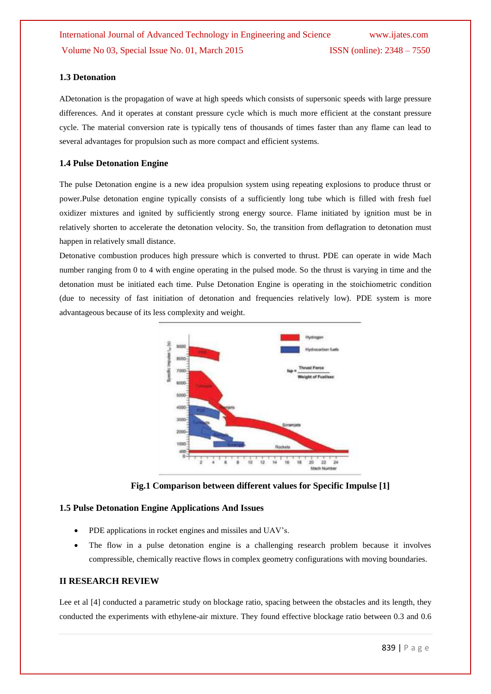#### **1.3 Detonation**

ADetonation is the propagation of wave at high speeds which consists of supersonic speeds with large pressure differences. And it operates at constant pressure cycle which is much more efficient at the constant pressure cycle. The material conversion rate is typically tens of thousands of times faster than any flame can lead to several advantages for propulsion such as more compact and efficient systems.

#### **1.4 Pulse Detonation Engine**

The pulse Detonation engine is a new idea propulsion system using repeating explosions to produce thrust or power.Pulse detonation engine typically consists of a sufficiently long tube which is filled with fresh fuel oxidizer mixtures and ignited by sufficiently strong energy source. Flame initiated by ignition must be in relatively shorten to accelerate the detonation velocity. So, the transition from deflagration to detonation must happen in relatively small distance.

Detonative combustion produces high pressure which is converted to thrust. PDE can operate in wide Mach number ranging from 0 to 4 with engine operating in the pulsed mode. So the thrust is varying in time and the detonation must be initiated each time. Pulse Detonation Engine is operating in the stoichiometric condition (due to necessity of fast initiation of detonation and frequencies relatively low). PDE system is more advantageous because of its less complexity and weight.



**Fig.1 Comparison between different values for Specific Impulse [1]**

#### **1.5 Pulse Detonation Engine Applications And Issues**

- PDE applications in rocket engines and missiles and UAV's.
- The flow in a pulse detonation engine is a challenging research problem because it involves compressible, chemically reactive flows in complex geometry configurations with moving boundaries.

#### **II RESEARCH REVIEW**

Lee et al [4] conducted a parametric study on blockage ratio, spacing between the obstacles and its length, they conducted the experiments with ethylene-air mixture. They found effective blockage ratio between 0.3 and 0.6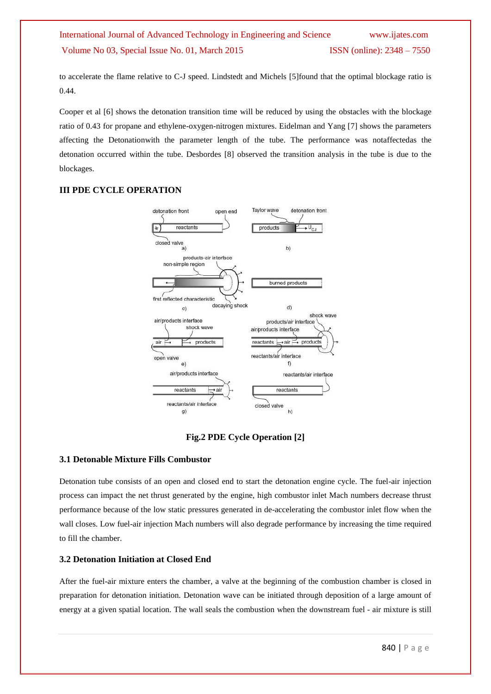to accelerate the flame relative to C-J speed. Lindstedt and Michels [5]found that the optimal blockage ratio is 0.44.

Cooper et al [6] shows the detonation transition time will be reduced by using the obstacles with the blockage ratio of 0.43 for propane and ethylene-oxygen-nitrogen mixtures. Eidelman and Yang [7] shows the parameters affecting the Detonationwith the parameter length of the tube. The performance was notaffectedas the detonation occurred within the tube. Desbordes [8] observed the transition analysis in the tube is due to the blockages.

#### **III PDE CYCLE OPERATION**



### **Fig.2 PDE Cycle Operation [2]**

#### **3.1 Detonable Mixture Fills Combustor**

Detonation tube consists of an open and closed end to start the detonation engine cycle. The fuel-air injection process can impact the net thrust generated by the engine, high combustor inlet Mach numbers decrease thrust performance because of the low static pressures generated in de-accelerating the combustor inlet flow when the wall closes. Low fuel-air injection Mach numbers will also degrade performance by increasing the time required to fill the chamber.

#### **3.2 Detonation Initiation at Closed End**

After the fuel-air mixture enters the chamber, a valve at the beginning of the combustion chamber is closed in preparation for detonation initiation. Detonation wave can be initiated through deposition of a large amount of energy at a given spatial location. The wall seals the combustion when the downstream fuel - air mixture is still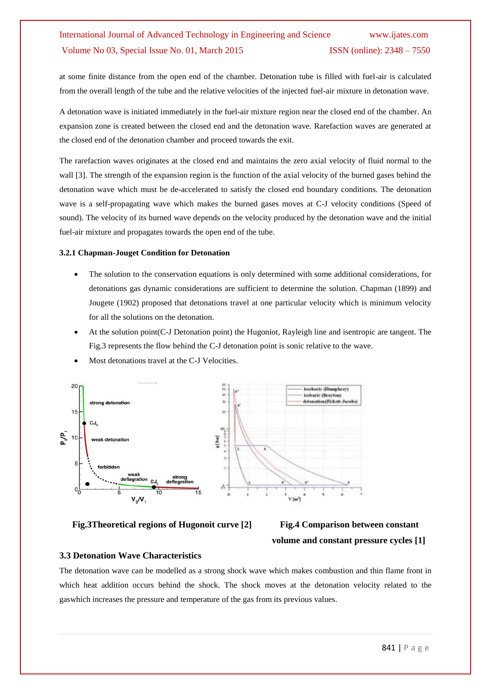at some finite distance from the open end of the chamber. Detonation tube is filled with fuel-air is calculated from the overall length of the tube and the relative velocities of the injected fuel-air mixture in detonation wave.

A detonation wave is initiated immediately in the fuel-air mixture region near the closed end of the chamber. An expansion zone is created between the closed end and the detonation wave. Rarefaction waves are generated at the closed end of the detonation chamber and proceed towards the exit.

The rarefaction waves originates at the closed end and maintains the zero axial velocity of fluid normal to the wall [3]. The strength of the expansion region is the function of the axial velocity of the burned gases behind the detonation wave which must be de-accelerated to satisfy the closed end boundary conditions. The detonation wave is a self-propagating wave which makes the burned gases moves at C-J velocity conditions (Speed of sound). The velocity of its burned wave depends on the velocity produced by the detonation wave and the initial fuel-air mixture and propagates towards the open end of the tube.

#### **3.2.1 Chapman-Jouget Condition for Detonation**

- The solution to the conservation equations is only determined with some additional considerations, for detonations gas dynamic considerations are sufficient to determine the solution. Chapman (1899) and Jougete (1902) proposed that detonations travel at one particular velocity which is minimum velocity for all the solutions on the detonation.
- At the solution point(C-J Detonation point) the Hugoniot, Rayleigh line and isentropic are tangent. The Fig.3 represents the flow behind the C-J detonation point is sonic relative to the wave.



Most detonations travel at the C-J Velocities.

**Fig.3Theoretical regions of Hugonoit curve [2] Fig.4 Comparison between constant**

# **volume and constant pressure cycles [1]**

#### **3.3 Detonation Wave Characteristics**

The detonation wave can be modelled as a strong shock wave which makes combustion and thin flame front in which heat addition occurs behind the shock. The shock moves at the detonation velocity related to the gaswhich increases the pressure and temperature of the gas from its previous values.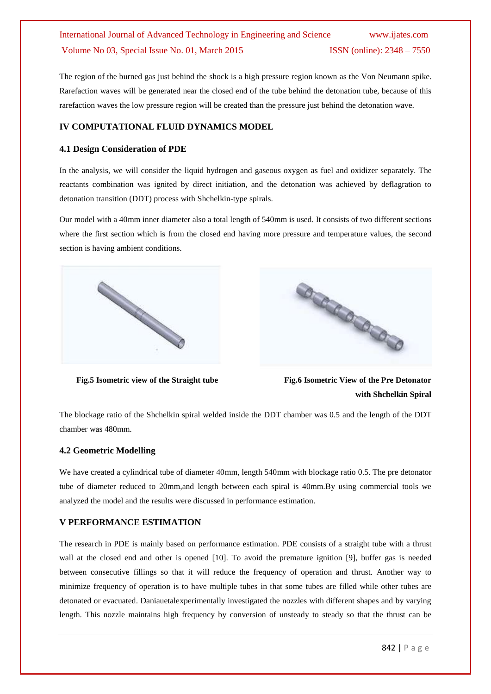The region of the burned gas just behind the shock is a high pressure region known as the Von Neumann spike. Rarefaction waves will be generated near the closed end of the tube behind the detonation tube, because of this rarefaction waves the low pressure region will be created than the pressure just behind the detonation wave.

#### **IV COMPUTATIONAL FLUID DYNAMICS MODEL**

#### **4.1 Design Consideration of PDE**

In the analysis, we will consider the liquid hydrogen and gaseous oxygen as fuel and oxidizer separately. The reactants combination was ignited by direct initiation, and the detonation was achieved by deflagration to detonation transition (DDT) process with Shchelkin-type spirals.

Our model with a 40mm inner diameter also a total length of 540mm is used. It consists of two different sections where the first section which is from the closed end having more pressure and temperature values, the second section is having ambient conditions.





**Fig.5 Isometric view of the Straight tube Fig.6 Isometric View of the Pre Detonator with Shchelkin Spiral**

The blockage ratio of the Shchelkin spiral welded inside the DDT chamber was 0.5 and the length of the DDT chamber was 480mm.

#### **4.2 Geometric Modelling**

We have created a cylindrical tube of diameter 40mm, length 540mm with blockage ratio 0.5. The pre detonator tube of diameter reduced to 20mm,and length between each spiral is 40mm.By using commercial tools we analyzed the model and the results were discussed in performance estimation.

#### **V PERFORMANCE ESTIMATION**

The research in PDE is mainly based on performance estimation. PDE consists of a straight tube with a thrust wall at the closed end and other is opened [10]. To avoid the premature ignition [9], buffer gas is needed between consecutive fillings so that it will reduce the frequency of operation and thrust. Another way to minimize frequency of operation is to have multiple tubes in that some tubes are filled while other tubes are detonated or evacuated. Daniauetalexperimentally investigated the nozzles with different shapes and by varying length. This nozzle maintains high frequency by conversion of unsteady to steady so that the thrust can be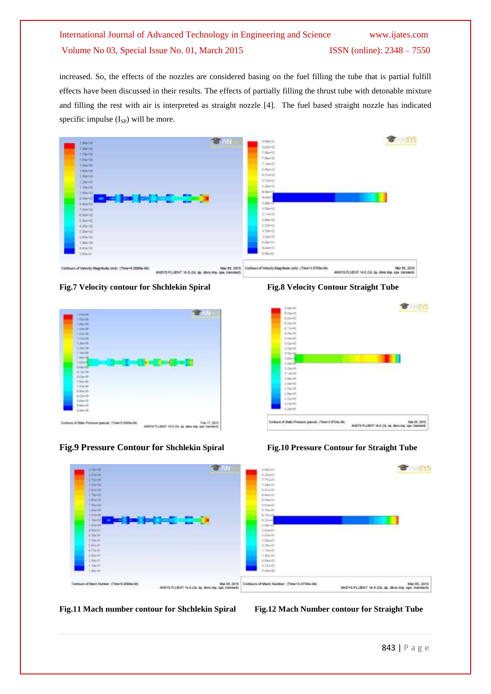increased. So, the effects of the nozzles are considered basing on the fuel filling the tube that is partial fulfill effects have been discussed in their results. The effects of partially filling the thrust tube with detonable mixture and filling the rest with air is interpreted as straight nozzle [4]. The fuel based straight nozzle has indicated specific impulse  $(I_{SP})$  will be more.







**Fig.9 Pressure Contour for Shchlekin Spiral Fig.10 Pressure Contour for Straight Tube**





#### **Fig.11 Mach number contour for Shchlekin Spiral Fig.12 Mach Number contour for Straight Tube**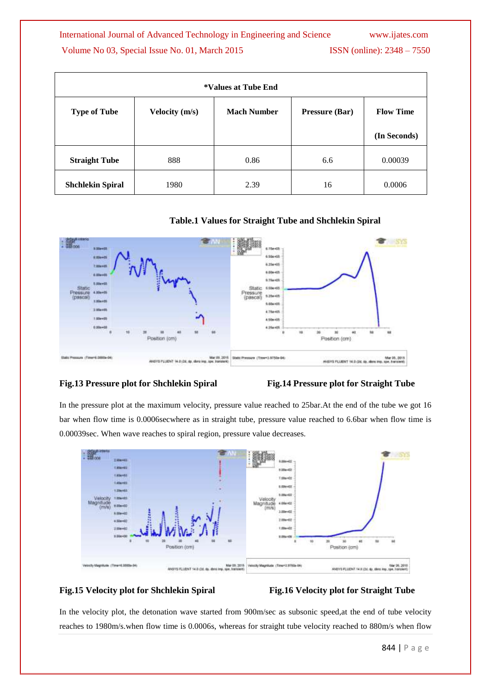| *Values at Tube End     |                       |                    |                       |                  |
|-------------------------|-----------------------|--------------------|-----------------------|------------------|
| <b>Type of Tube</b>     | <b>Velocity</b> (m/s) | <b>Mach Number</b> | <b>Pressure (Bar)</b> | <b>Flow Time</b> |
|                         |                       |                    |                       | (In Seconds)     |
| <b>Straight Tube</b>    | 888                   | 0.86               | 6.6                   | 0.00039          |
| <b>Shchlekin Spiral</b> | 1980                  | 2.39               | 16                    | 0.0006           |

#### **Table.1 Values for Straight Tube and Shchlekin Spiral**



#### **Fig.13 Pressure plot for Shchlekin Spiral Fig.14 Pressure plot for Straight Tube**

In the pressure plot at the maximum velocity, pressure value reached to 25bar.At the end of the tube we got 16 bar when flow time is 0.0006secwhere as in straight tube, pressure value reached to 6.6bar when flow time is 0.00039sec. When wave reaches to spiral region, pressure value decreases.



#### **Fig.15 Velocity plot for Shchlekin Spiral Fig.16 Velocity plot for Straight Tube**

In the velocity plot, the detonation wave started from 900m/sec as subsonic speed,at the end of tube velocity reaches to 1980m/s.when flow time is 0.0006s, whereas for straight tube velocity reached to 880m/s when flow